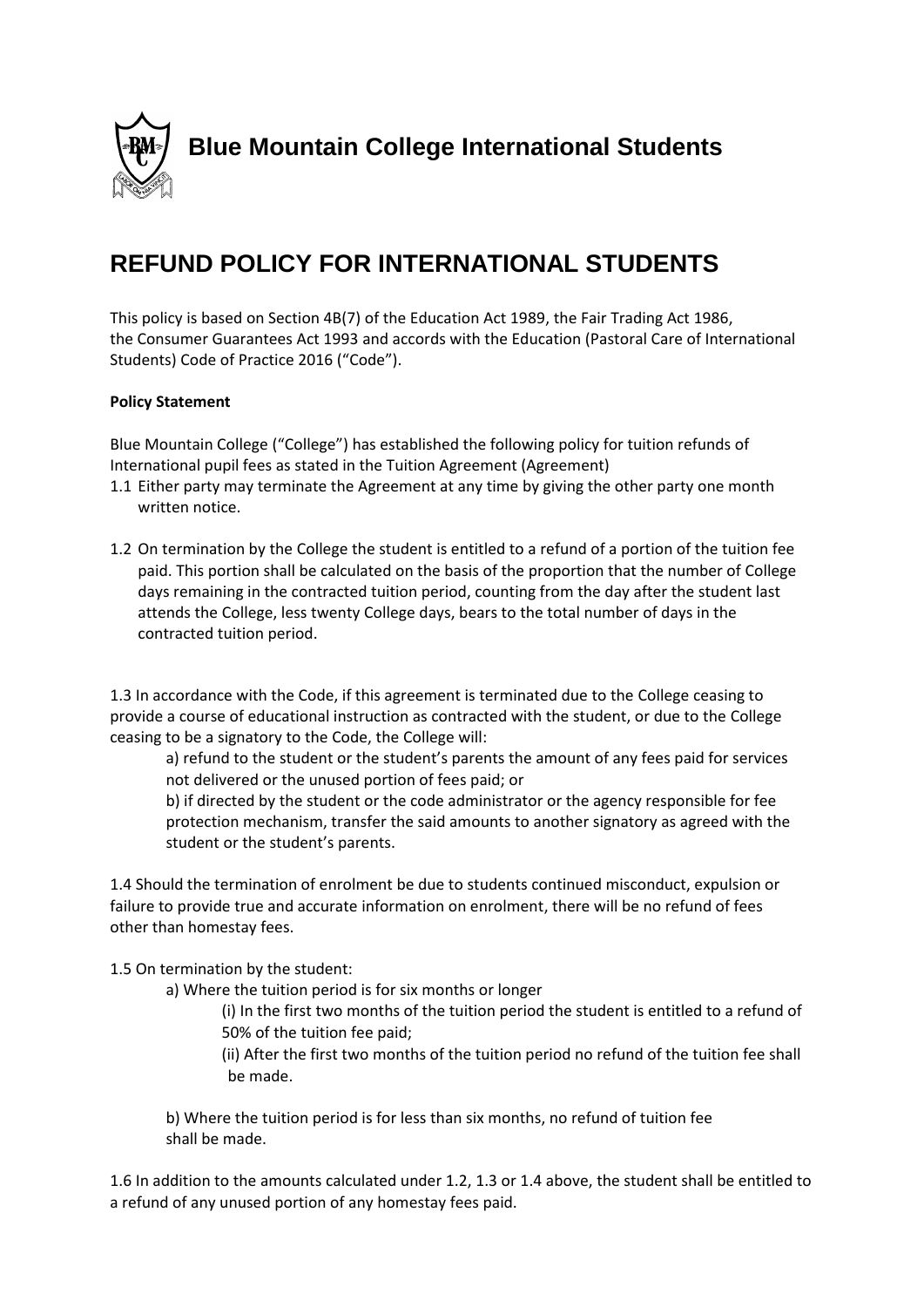

# **REFUND POLICY FOR INTERNATIONAL STUDENTS**

This policy is based on Section 4B(7) of the Education Act 1989, the Fair Trading Act 1986, the Consumer Guarantees Act 1993 and accords with the Education (Pastoral Care of International Students) Code of Practice 2016 ("Code").

## **Policy Statement**

Blue Mountain College ("College") has established the following policy for tuition refunds of International pupil fees as stated in the Tuition Agreement (Agreement)

- 1.1 Either party may terminate the Agreement at any time by giving the other party one month written notice.
- 1.2 On termination by the College the student is entitled to a refund of a portion of the tuition fee paid. This portion shall be calculated on the basis of the proportion that the number of College days remaining in the contracted tuition period, counting from the day after the student last attends the College, less twenty College days, bears to the total number of days in the contracted tuition period.

1.3 In accordance with the Code, if this agreement is terminated due to the College ceasing to provide a course of educational instruction as contracted with the student, or due to the College ceasing to be a signatory to the Code, the College will:

a) refund to the student or the student's parents the amount of any fees paid for services not delivered or the unused portion of fees paid; or

b) if directed by the student or the code administrator or the agency responsible for fee protection mechanism, transfer the said amounts to another signatory as agreed with the student or the student's parents.

1.4 Should the termination of enrolment be due to students continued misconduct, expulsion or failure to provide true and accurate information on enrolment, there will be no refund of fees other than homestay fees.

1.5 On termination by the student:

a) Where the tuition period is for six months or longer

(i) In the first two months of the tuition period the student is entitled to a refund of 50% of the tuition fee paid;

(ii) After the first two months of the tuition period no refund of the tuition fee shall be made.

b) Where the tuition period is for less than six months, no refund of tuition fee shall be made.

1.6 In addition to the amounts calculated under 1.2, 1.3 or 1.4 above, the student shall be entitled to a refund of any unused portion of any homestay fees paid.